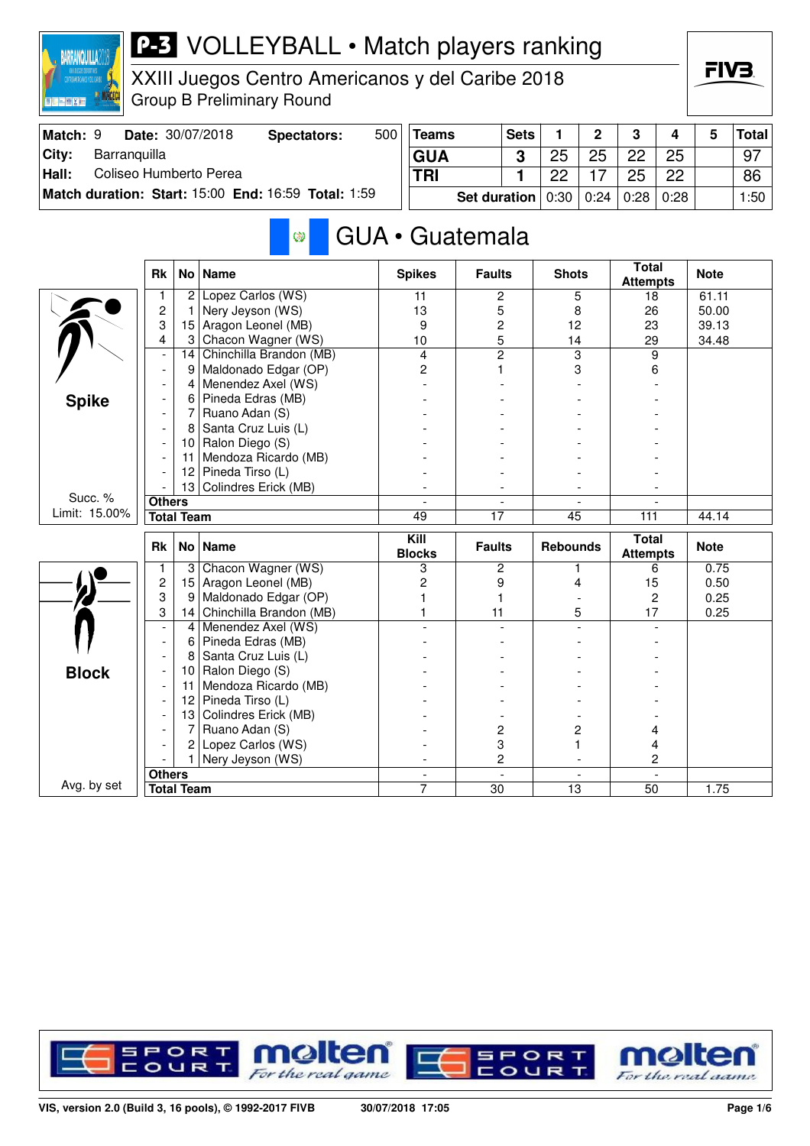

XXIII Juegos Centro Americanos y del Caribe 2018 Group B Preliminary Round

| Match: 9 |              | <b>Date: 30/07/2018</b> | Spectators:                                         | 500 | Teams      | <b>Sets</b>                                |    | <sup>o</sup> | $\mathbf{r}$ |                            | Total |
|----------|--------------|-------------------------|-----------------------------------------------------|-----|------------|--------------------------------------------|----|--------------|--------------|----------------------------|-------|
| City:    | Barranquilla |                         |                                                     |     | <b>GUA</b> |                                            | 25 | 25           | 22           | 25                         | -97   |
| Hall:    |              | Coliseo Humberto Perea  |                                                     |     | <b>TRI</b> |                                            | ററ |              | 25           | 22                         | 86    |
|          |              |                         | Match duration: Start: 15:00 End: 16:59 Total: 1:59 |     |            | Set duration $\vert 0.30 \vert 0.24 \vert$ |    |              |              | <sup>⊢</sup> 0:28 ∣ 0:28 ⊧ | 1:50  |

#### GUA • Guatemala **B**

|               | <b>Rk</b>      | No                | <b>Name</b>             | <b>Spikes</b>         | <b>Faults</b>            | <b>Shots</b>    | <b>Total</b><br><b>Attempts</b> | <b>Note</b> |
|---------------|----------------|-------------------|-------------------------|-----------------------|--------------------------|-----------------|---------------------------------|-------------|
|               |                | 2                 | Lopez Carlos (WS)       | 11                    | 2                        | 5               | 18                              | 61.11       |
|               | $\overline{2}$ | 1                 | Nery Jeyson (WS)        | 13                    | 5                        | 8               | 26                              | 50.00       |
|               | 3              | 15                | Aragon Leonel (MB)      | 9                     | $\overline{c}$           | 12              | 23                              | 39.13       |
|               | 4              | 3                 | Chacon Wagner (WS)      | 10                    | 5                        | 14              | 29                              | 34.48       |
|               | $\blacksquare$ | 14                | Chinchilla Brandon (MB) | $\overline{4}$        | $\overline{2}$           | 3               | 9                               |             |
|               |                | 9                 | Maldonado Edgar (OP)    | $\overline{c}$        | 1                        | 3               | 6                               |             |
|               |                | 4                 | Menendez Axel (WS)      |                       |                          |                 |                                 |             |
| <b>Spike</b>  |                | 6                 | Pineda Edras (MB)       |                       |                          |                 |                                 |             |
|               |                | 7                 | Ruano Adan (S)          |                       |                          |                 |                                 |             |
|               |                | 8                 | Santa Cruz Luis (L)     |                       |                          |                 |                                 |             |
|               |                | 10                | Ralon Diego (S)         |                       |                          |                 |                                 |             |
|               |                | 11                | Mendoza Ricardo (MB)    |                       |                          |                 |                                 |             |
|               |                | 12                | Pineda Tirso (L)        |                       |                          |                 |                                 |             |
|               |                | 13                | Colindres Erick (MB)    |                       |                          |                 |                                 |             |
| Succ. %       | <b>Others</b>  |                   |                         |                       |                          |                 |                                 |             |
| Limit: 15.00% |                | <b>Total Team</b> |                         | 49                    | 17                       | 45              | 111                             | 44.14       |
|               |                |                   |                         |                       |                          |                 |                                 |             |
|               | <b>Rk</b>      |                   | No   Name               | Kill<br><b>Blocks</b> | <b>Faults</b>            | <b>Rebounds</b> | <b>Total</b><br><b>Attempts</b> | <b>Note</b> |
|               | 1              | 3                 | Chacon Wagner (WS)      | 3                     | 2                        | 1               | 6                               | 0.75        |
|               | $\overline{c}$ | 15                | Aragon Leonel (MB)      | $\overline{c}$        | 9                        | 4               | 15                              | 0.50        |
|               | 3              | 9                 | Maldonado Edgar (OP)    |                       | 1                        |                 | $\overline{c}$                  | 0.25        |
|               | 3              | 14                | Chinchilla Brandon (MB) |                       | 11                       | 5               | 17                              | 0.25        |
|               | $\blacksquare$ | 4                 | Menendez Axel (WS)      |                       |                          |                 |                                 |             |
|               |                | 6                 | Pineda Edras (MB)       |                       |                          |                 |                                 |             |
|               |                | 8                 | Santa Cruz Luis (L)     |                       |                          |                 |                                 |             |
|               |                | 10                | Ralon Diego (S)         |                       |                          |                 |                                 |             |
| <b>Block</b>  |                | 11                | Mendoza Ricardo (MB)    |                       |                          |                 |                                 |             |
|               |                | 12                | Pineda Tirso (L)        |                       |                          |                 |                                 |             |
|               |                | 13                | Colindres Erick (MB)    |                       |                          |                 |                                 |             |
|               |                | 7                 | Ruano Adan (S)          |                       | 2                        | 2               | 4                               |             |
|               |                | 2                 | Lopez Carlos (WS)       |                       | 3                        |                 | 4                               |             |
|               |                |                   | Nery Jeyson (WS)        |                       | 2                        |                 | $\overline{c}$                  |             |
| Avg. by set   | <b>Others</b>  |                   |                         | $\blacksquare$        | $\overline{\phantom{a}}$ | $\overline{a}$  | $\overline{\phantom{a}}$        |             |

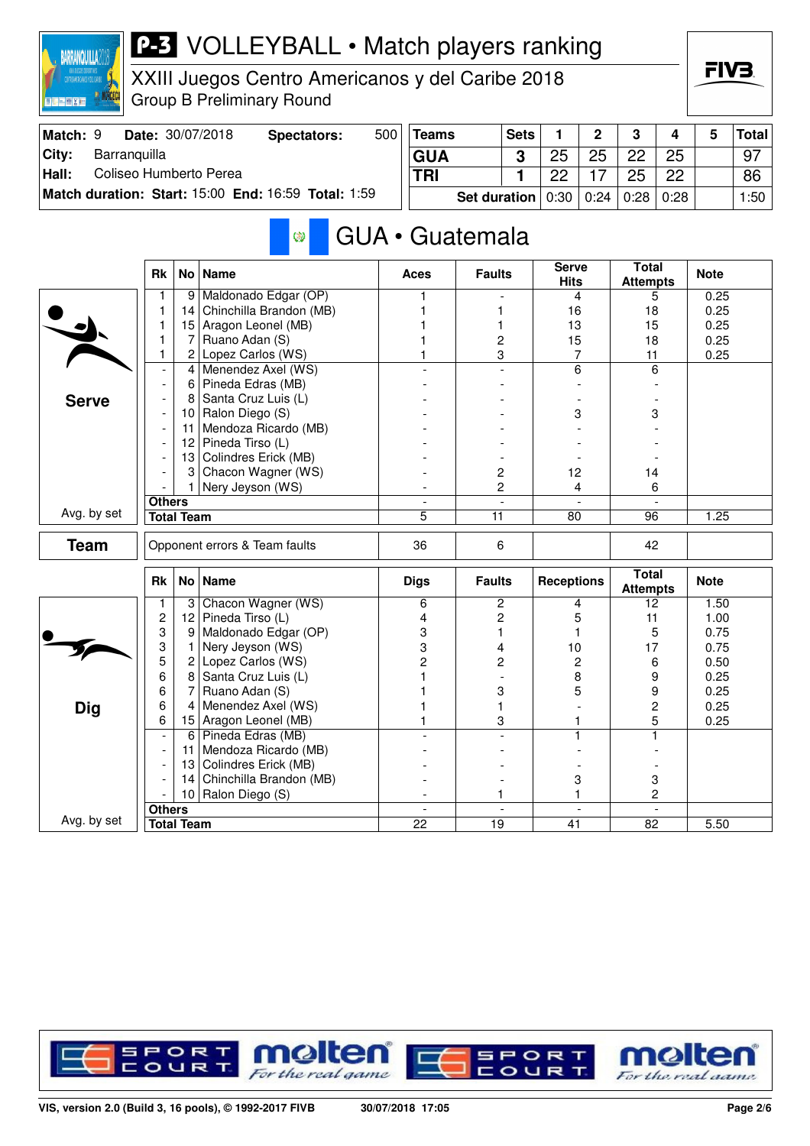

XXIII Juegos Centro Americanos y del Caribe 2018 Group B Preliminary Round



| Match: 9 |              | Date: 30/07/2018       | Spectators:                                                | 500 | Teams      |              | <b>Sets</b> |        | ົ    | ≏    |            | <b>Total</b> |
|----------|--------------|------------------------|------------------------------------------------------------|-----|------------|--------------|-------------|--------|------|------|------------|--------------|
| City:    | Barranguilla |                        |                                                            |     | <b>GUA</b> |              |             | 25     | 25   | 22   | 25         | 97           |
| Hall:    |              | Coliseo Humberto Perea |                                                            |     | <b>TRI</b> |              |             | ററ     |      | 25   | 22         | 86           |
|          |              |                        | <b>Match duration: Start: 15:00 End: 16:59 Total: 1:59</b> |     |            | Set duration |             | $0:30$ | 0:24 | 0:28 | $\pm 0.28$ | 1:50         |

#### GUA • Guatemala Ø

|              | <b>Rk</b>                |                   | No   Name                     | Aces                | <b>Faults</b>   | <b>Serve</b><br><b>Hits</b> | <b>Total</b><br><b>Attempts</b> | <b>Note</b> |
|--------------|--------------------------|-------------------|-------------------------------|---------------------|-----------------|-----------------------------|---------------------------------|-------------|
|              | 1                        | 9 <sup>1</sup>    | Maldonado Edgar (OP)          | 1                   |                 | 4                           | 5                               | 0.25        |
|              | 1                        | 14                | Chinchilla Brandon (MB)       |                     | 1               | 16                          | 18                              | 0.25        |
|              | 1                        | 15                | Aragon Leonel (MB)            |                     | 1               | 13                          | 15                              | 0.25        |
|              | 1                        | 7                 | Ruano Adan (S)                |                     | 2               | 15                          | 18                              | 0.25        |
|              | $\mathbf{1}$             | $\mathbf{2}$      | Lopez Carlos (WS)             |                     | 3               | 7                           | 11                              | 0.25        |
|              | $\overline{\phantom{a}}$ | 4                 | Menendez Axel (WS)            |                     | $\overline{a}$  | 6                           | 6                               |             |
|              | $\blacksquare$           | 6                 | Pineda Edras (MB)             |                     |                 |                             |                                 |             |
| <b>Serve</b> |                          | 8                 | Santa Cruz Luis (L)           |                     |                 |                             |                                 |             |
|              |                          | 10 <sup>°</sup>   | Ralon Diego (S)               |                     |                 | 3                           | 3                               |             |
|              | $\overline{\phantom{a}}$ | 11                | Mendoza Ricardo (MB)          |                     |                 |                             |                                 |             |
|              |                          | 12                | Pineda Tirso (L)              |                     |                 |                             |                                 |             |
|              |                          | 13                | Colindres Erick (MB)          |                     |                 |                             |                                 |             |
|              |                          | 3                 | Chacon Wagner (WS)            |                     | 2               | 12                          | 14                              |             |
|              |                          | 1                 | Nery Jeyson (WS)              |                     | $\overline{c}$  | 4                           | 6                               |             |
|              | <b>Others</b>            |                   |                               | $\bar{\phantom{a}}$ | $\frac{1}{2}$   | $\overline{\phantom{a}}$    | $\overline{\phantom{a}}$        |             |
| Avg. by set  |                          | <b>Total Team</b> |                               | 5                   | $\overline{11}$ | 80                          | 96                              | 1.25        |
| <b>Team</b>  |                          |                   | Opponent errors & Team faults | 36                  | 6               |                             | 42                              |             |
|              | <b>Rk</b>                |                   | No   Name                     | <b>Digs</b>         | <b>Faults</b>   | <b>Receptions</b>           | <b>Total</b><br><b>Attempts</b> | <b>Note</b> |
|              | 1                        | $\mathbf{3}$      | Chacon Wagner (WS)            | 6                   | $\overline{2}$  | 4                           | 12                              | 1.50        |
|              | 2                        | 12                | Pineda Tirso (L)              | 4                   | 2               | 5                           | 11                              | 1.00        |
|              | 3                        | 9                 | Maldonado Edgar (OP)          | 3                   | 1               | 1                           | 5                               | 0.75        |
|              | 3                        | 1                 | Nery Jeyson (WS)              | 3                   | 4               | 10                          | 17                              | 0.75        |
|              | 5                        | $\overline{c}$    | Lopez Carlos (WS)             | $\overline{2}$      | 2               | $\overline{c}$              | 6                               | 0.50        |
|              | 6                        | 8                 | Santa Cruz Luis (L)           |                     |                 | 8                           | 9                               | 0.25        |
|              | 6                        | 7                 | Ruano Adan (S)                |                     | 3               | 5                           | 9                               | 0.25        |
| <b>Dig</b>   | 6                        | $\overline{4}$    | Menendez Axel (WS)            |                     | 1               |                             | $\overline{c}$                  | 0.25        |
|              | 6                        | 15                | Aragon Leonel (MB)            |                     | 3               | 1                           | 5                               | 0.25        |
|              | $\overline{\phantom{a}}$ | $6 \mid$          | Pineda Edras (MB)             |                     |                 |                             | 1                               |             |
|              |                          | 11                | Mendoza Ricardo (MB)          |                     |                 |                             |                                 |             |
|              | $\overline{\phantom{a}}$ | 13                | Colindres Erick (MB)          |                     |                 |                             |                                 |             |
|              |                          | 14                | Chinchilla Brandon (MB)       |                     |                 | 3                           | 3                               |             |
|              |                          | 10                | Ralon Diego (S)               |                     | 1               | 1                           | 2                               |             |
|              |                          |                   |                               | $\blacksquare$      | $\blacksquare$  | $\overline{\phantom{a}}$    | $\mathbf{r}$                    |             |
| Avg. by set  | <b>Others</b>            | <b>Total Team</b> |                               | 22                  | 19              | 41                          | 82                              | 5.50        |

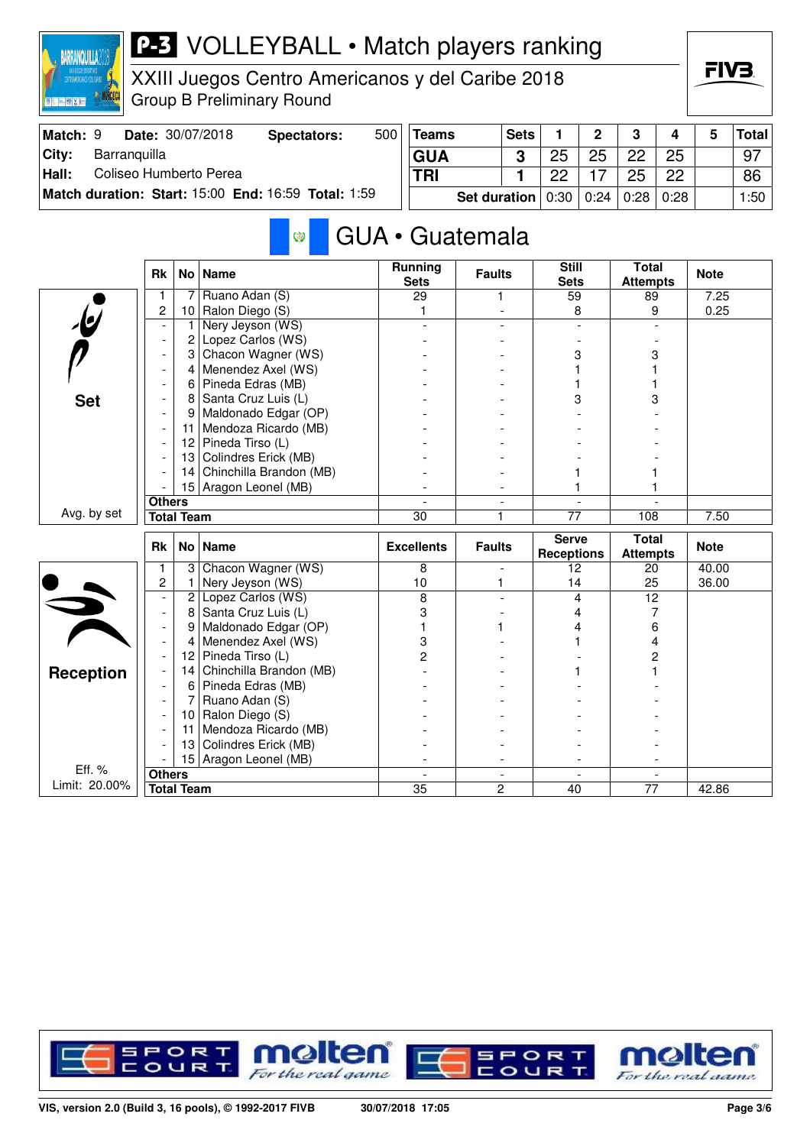

XXIII Juegos Centro Americanos y del Caribe 2018 Group B Preliminary Round

| Match: 9 |              | Date: 30/07/2018       | Spectators:                                         | 500 | <b>Teams</b> |                                            | <b>Sets</b> |    | <sup>o</sup> | $\mathbf{\Omega}$ |    | Total |
|----------|--------------|------------------------|-----------------------------------------------------|-----|--------------|--------------------------------------------|-------------|----|--------------|-------------------|----|-------|
| City:    | Barranguilla |                        |                                                     |     | <b>GUA</b>   |                                            | C           | 25 | 25           | 22                | 25 | - 97  |
| Hall:    |              | Coliseo Humberto Perea |                                                     |     | <b>TRI</b>   |                                            |             | ററ |              | 25                | 22 | 86    |
|          |              |                        | Match duration: Start: 15:00 End: 16:59 Total: 1:59 |     |              | Set duration $\vert 0.30 \vert 0.24 \vert$ |             |    |              | $0:28 \mid 0:28$  |    | 1:50  |

#### GUA • Guatemala Ø

|                         | <b>Rk</b>                |                   | No   Name               | <b>Running</b><br><b>Sets</b> | <b>Faults</b>  | <b>Still</b><br><b>Sets</b>       | <b>Total</b><br><b>Attempts</b> | <b>Note</b> |
|-------------------------|--------------------------|-------------------|-------------------------|-------------------------------|----------------|-----------------------------------|---------------------------------|-------------|
|                         | 1                        | 7                 | Ruano Adan (S)          | 29                            | 1              | 59                                | 89                              | 7.25        |
| $\mathbf{r}$            | $\overline{c}$           | 10 <sub>1</sub>   | Ralon Diego (S)         | 1                             |                | 8                                 | 9                               | 0.25        |
|                         |                          | 1                 | Nery Jeyson (WS)        |                               |                |                                   |                                 |             |
|                         | $\overline{\phantom{a}}$ | 2                 | Lopez Carlos (WS)       |                               |                |                                   |                                 |             |
|                         |                          | 3                 | Chacon Wagner (WS)      |                               |                | 3                                 | 3                               |             |
|                         |                          | 4                 | Menendez Axel (WS)      |                               |                |                                   |                                 |             |
|                         |                          | 6                 | Pineda Edras (MB)       |                               |                |                                   |                                 |             |
| <b>Set</b>              |                          | 8                 | Santa Cruz Luis (L)     |                               |                | 3                                 | 3                               |             |
|                         |                          | 9                 | Maldonado Edgar (OP)    |                               |                |                                   |                                 |             |
|                         |                          | 11                | Mendoza Ricardo (MB)    |                               |                |                                   |                                 |             |
|                         |                          | 12                | Pineda Tirso (L)        |                               |                |                                   |                                 |             |
|                         |                          | 13                | Colindres Erick (MB)    |                               |                |                                   |                                 |             |
|                         |                          | 14                | Chinchilla Brandon (MB) |                               |                |                                   |                                 |             |
|                         |                          |                   | 15 Aragon Leonel (MB)   |                               |                |                                   |                                 |             |
|                         | <b>Others</b>            |                   |                         |                               |                |                                   |                                 |             |
| Avg. by set             |                          | <b>Total Team</b> |                         | 30                            | 1              | 77                                | 108                             | 7.50        |
|                         |                          |                   |                         |                               |                |                                   |                                 |             |
|                         | <b>Rk</b>                |                   | No   Name               | <b>Excellents</b>             | <b>Faults</b>  | <b>Serve</b><br><b>Receptions</b> | <b>Total</b><br><b>Attempts</b> | <b>Note</b> |
|                         | 1                        | 3                 | Chacon Wagner (WS)      | 8                             |                | 12                                | 20                              | 40.00       |
|                         | $\overline{c}$           | 1                 | Nery Jeyson (WS)        | 10                            | 1              | 14                                | 25                              | 36.00       |
|                         |                          | 2                 | Lopez Carlos (WS)       | 8                             |                | 4                                 | 12                              |             |
|                         | $\overline{\phantom{a}}$ | 8                 | Santa Cruz Luis (L)     | 3                             |                | 4                                 | 7                               |             |
|                         | $\blacksquare$           | 9                 | Maldonado Edgar (OP)    |                               |                | 4                                 | 6                               |             |
| $\overrightarrow{v}$    | $\overline{\phantom{a}}$ | 4                 | Menendez Axel (WS)      | 3                             |                |                                   | 4                               |             |
|                         | $\blacksquare$           | 12                | Pineda Tirso (L)        | 2                             |                |                                   | 2                               |             |
|                         |                          | 14                | Chinchilla Brandon (MB) |                               |                |                                   |                                 |             |
| <b>Reception</b>        |                          | 6                 | Pineda Edras (MB)       |                               |                |                                   |                                 |             |
|                         | $\blacksquare$           | 7                 | Ruano Adan (S)          |                               |                |                                   |                                 |             |
|                         |                          | 10                | Ralon Diego (S)         |                               |                |                                   |                                 |             |
|                         |                          | 11                | Mendoza Ricardo (MB)    |                               |                |                                   |                                 |             |
|                         |                          | 13                | Colindres Erick (MB)    |                               |                |                                   |                                 |             |
|                         |                          | 15 <sup>1</sup>   | Aragon Leonel (MB)      |                               |                |                                   |                                 |             |
| Eff. %<br>Limit: 20.00% | <b>Others</b>            | <b>Total Team</b> |                         | $\overline{35}$               | $\overline{2}$ | 40                                | $\overline{77}$                 | 42.86       |

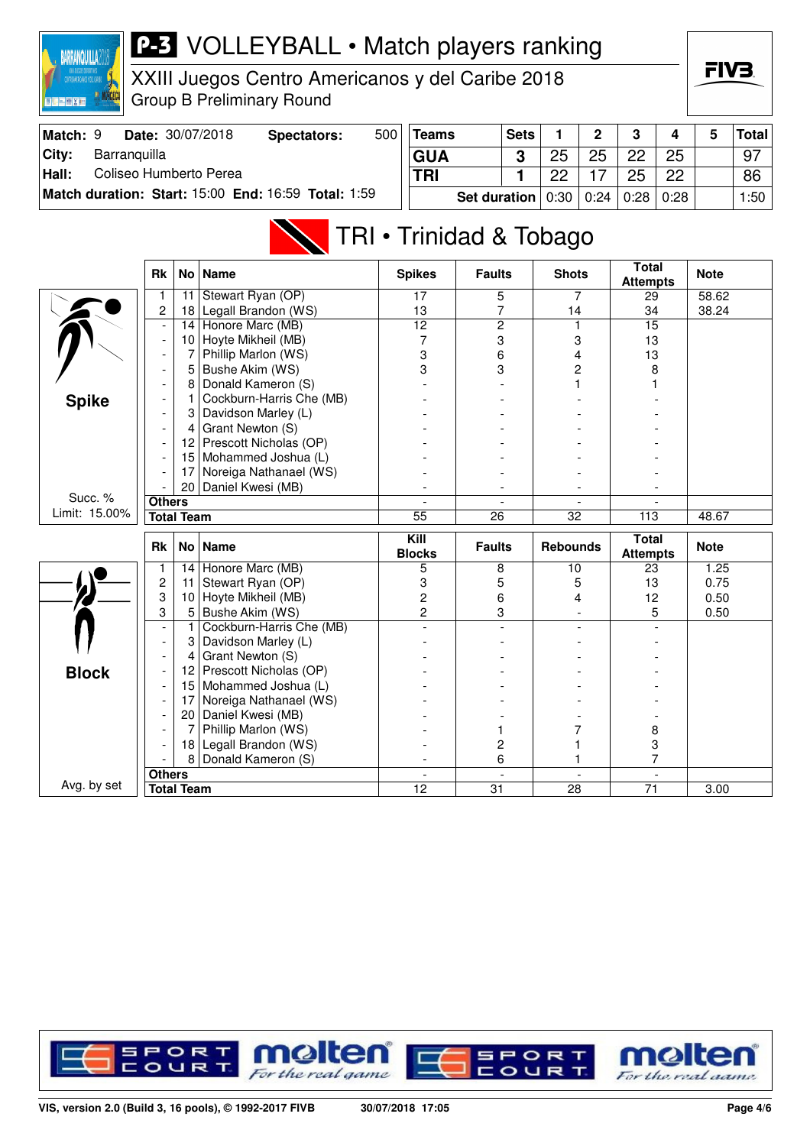

XXIII Juegos Centro Americanos y del Caribe 2018 Group B Preliminary Round



| Match: 9 | <b>Date: 30/07/2018</b>                             | Spectators: | $500^{\circ}$ | Teams                               | <b>Sets</b> |    | $\overline{2}$ | 3    | 4    | <b>Total</b> |
|----------|-----------------------------------------------------|-------------|---------------|-------------------------------------|-------------|----|----------------|------|------|--------------|
| City:    | Barranguilla                                        |             |               | <b>GUA</b>                          | າ           | 25 | 25             | 22   | 25   | 97           |
| Hall:    | Coliseo Humberto Perea                              |             |               | <b>TRI</b>                          |             | ממ |                | 25   | 22   | 86           |
|          | Match duration: Start: 15:00 End: 16:59 Total: 1:59 |             |               | <b>Set duration</b> $0.30   0.24  $ |             |    |                | 0:28 | 0:28 | 1:50         |

## TRI • Trinidad & Tobago

|               | <b>Rk</b>                | <b>No</b>         | <b>Name</b>              | <b>Spikes</b>         | <b>Faults</b>            | <b>Shots</b>             | <b>Total</b><br><b>Attempts</b> | <b>Note</b> |
|---------------|--------------------------|-------------------|--------------------------|-----------------------|--------------------------|--------------------------|---------------------------------|-------------|
|               | 1                        | 11                | Stewart Ryan (OP)        | 17                    | 5                        | 7                        | 29                              | 58.62       |
|               | $\overline{c}$           | 18                | Legall Brandon (WS)      | 13                    | 7                        | 14                       | 34                              | 38.24       |
|               | $\overline{\phantom{a}}$ | 14                | Honore Marc (MB)         | $\overline{12}$       | $\overline{2}$           |                          | $\overline{15}$                 |             |
|               | $\overline{\phantom{a}}$ | 10                | Hoyte Mikheil (MB)       | 7                     | 3                        | 3                        | 13                              |             |
|               | $\overline{\phantom{a}}$ | 7                 | Phillip Marlon (WS)      | 3                     | 6                        | 4                        | 13                              |             |
|               | $\overline{a}$           | 5                 | Bushe Akim (WS)          | 3                     | 3                        | 2                        | 8                               |             |
|               |                          | 8                 | Donald Kameron (S)       |                       |                          |                          |                                 |             |
| <b>Spike</b>  |                          |                   | Cockburn-Harris Che (MB) |                       |                          |                          |                                 |             |
|               |                          | 3                 | Davidson Marley (L)      |                       |                          |                          |                                 |             |
|               |                          | 4                 | Grant Newton (S)         |                       |                          |                          |                                 |             |
|               |                          | 12 <sup>2</sup>   | Prescott Nicholas (OP)   |                       |                          |                          |                                 |             |
|               |                          | 15                | Mohammed Joshua (L)      |                       |                          |                          |                                 |             |
|               |                          | 17                | Noreiga Nathanael (WS)   |                       |                          |                          |                                 |             |
|               |                          | 20 <sup>1</sup>   | Daniel Kwesi (MB)        |                       |                          |                          |                                 |             |
| Succ. %       | <b>Others</b>            |                   |                          |                       | $\overline{\phantom{a}}$ | $\overline{\phantom{a}}$ |                                 |             |
| Limit: 15.00% |                          | <b>Total Team</b> |                          | $\overline{55}$       | 26                       | $\overline{32}$          | 113                             | 48.67       |
|               |                          |                   |                          |                       |                          |                          |                                 |             |
|               | <b>Rk</b>                | No <sub>1</sub>   | <b>Name</b>              | Kill<br><b>Blocks</b> | <b>Faults</b>            | <b>Rebounds</b>          | <b>Total</b><br><b>Attempts</b> | <b>Note</b> |
|               |                          | 14                | Honore Marc (MB)         | 5                     | 8                        | 10                       | 23                              | 1.25        |
|               | $\overline{c}$           | 11                | Stewart Ryan (OP)        | 3                     | 5                        | 5                        | 13                              | 0.75        |
|               | 3                        | 10                | Hoyte Mikheil (MB)       | $\overline{c}$        | 6                        | 4                        | 12                              | 0.50        |
|               | 3                        | 5 <sup>1</sup>    | Bushe Akim (WS)          | $\overline{c}$        | 3                        | $\blacksquare$           | 5                               | 0.50        |
|               | $\overline{\phantom{a}}$ | 1                 | Cockburn-Harris Che (MB) |                       |                          |                          |                                 |             |
|               | $\overline{\phantom{a}}$ | 3                 | Davidson Marley (L)      |                       |                          |                          |                                 |             |
|               |                          | 4                 | Grant Newton (S)         |                       |                          |                          |                                 |             |
|               |                          | 12 <sup>2</sup>   | Prescott Nicholas (OP)   |                       |                          |                          |                                 |             |
| <b>Block</b>  |                          | 15 <sub>1</sub>   | Mohammed Joshua (L)      |                       |                          |                          |                                 |             |
|               |                          | 17                | Noreiga Nathanael (WS)   |                       |                          |                          |                                 |             |
|               |                          | 20                | Daniel Kwesi (MB)        |                       |                          |                          |                                 |             |
|               |                          | 7                 | Phillip Marlon (WS)      |                       |                          | 7                        | 8                               |             |
|               |                          | 18                | Legall Brandon (WS)      |                       | 2                        |                          | 3                               |             |
|               |                          | 8                 | Donald Kameron (S)       |                       | 6                        |                          | 7                               |             |
| Avg. by set   | <b>Others</b>            | <b>Total Team</b> |                          | $\overline{a}$<br>12  | $\overline{a}$<br>31     | $\sim$<br>28             | $\sim$<br>71                    | 3.00        |

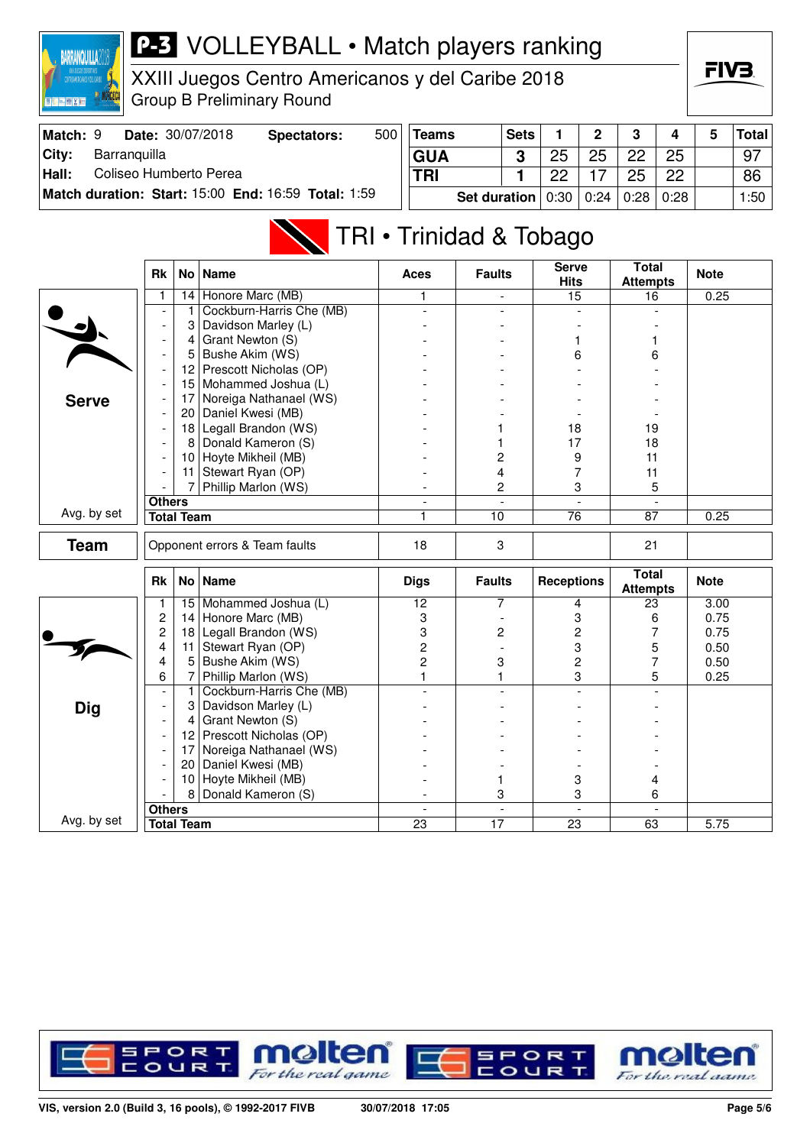

XXIII Juegos Centro Americanos y del Caribe 2018 Group B Preliminary Round



| Match: 9 |              | <b>Date: 30/07/2018</b> | Spectators:                                         | 500 | <b>Teams</b>                       | <b>Sets</b> |    | <sup>o</sup> | ≏    |      | Total |
|----------|--------------|-------------------------|-----------------------------------------------------|-----|------------------------------------|-------------|----|--------------|------|------|-------|
| City:    | Barranguilla |                         |                                                     |     | <b>GUA</b>                         |             | 25 | 25           | 22   | 25   | 97    |
| Hall:    |              | Coliseo Humberto Perea  |                                                     |     | <b>TRI</b>                         |             | ממ |              | 25   | 22   | 86    |
|          |              |                         | Match duration: Start: 15:00 End: 16:59 Total: 1:59 |     | Set duration $0.30 \mid 0.24 \mid$ |             |    |              | 0:28 | 0:28 | :50   |

# TRI • Trinidad & Tobago

|              | <b>Rk</b>                |                   | No   Name                     | Aces                     | <b>Faults</b>  | <b>Serve</b><br><b>Hits</b> | <b>Total</b><br><b>Attempts</b> | <b>Note</b> |
|--------------|--------------------------|-------------------|-------------------------------|--------------------------|----------------|-----------------------------|---------------------------------|-------------|
|              | 1                        | 14                | Honore Marc (MB)              | 1                        | $\equiv$       | 15                          | 16                              | 0.25        |
|              |                          | 1                 | Cockburn-Harris Che (MB)      | $\overline{a}$           |                |                             |                                 |             |
|              |                          | 3                 | Davidson Marley (L)           |                          |                |                             |                                 |             |
|              |                          | 4                 | Grant Newton (S)              |                          |                |                             |                                 |             |
|              | $\overline{\phantom{a}}$ | 5                 | Bushe Akim (WS)               |                          |                | 6                           | 6                               |             |
|              |                          | 12                | Prescott Nicholas (OP)        |                          |                |                             |                                 |             |
|              |                          | 15                | Mohammed Joshua (L)           |                          |                |                             |                                 |             |
| <b>Serve</b> |                          | 17                | Noreiga Nathanael (WS)        |                          |                |                             |                                 |             |
|              |                          | 20                | Daniel Kwesi (MB)             |                          |                |                             |                                 |             |
|              |                          | 18                | Legall Brandon (WS)           |                          |                | 18                          | 19                              |             |
|              |                          | 8                 | Donald Kameron (S)            |                          | 1              | 17                          | 18                              |             |
|              |                          | 10 <sup>°</sup>   | Hoyte Mikheil (MB)            |                          | 2              | 9                           | 11                              |             |
|              |                          | 11                | Stewart Ryan (OP)             |                          | 4              | 7                           | 11                              |             |
|              |                          |                   | Phillip Marlon (WS)           |                          | 2              | 3                           | 5                               |             |
|              | <b>Others</b>            |                   |                               | $\mathbf{r}$             | $\overline{a}$ | $\mathbb{L}$                | $\overline{a}$                  |             |
| Avg. by set  |                          | <b>Total Team</b> |                               | 1                        | 10             | 76                          | 87                              | 0.25        |
| <b>Team</b>  |                          |                   | Opponent errors & Team faults | 18                       | 3              |                             | 21                              |             |
|              | <b>Rk</b>                |                   | No   Name                     | <b>Digs</b>              | <b>Faults</b>  | <b>Receptions</b>           | <b>Total</b><br><b>Attempts</b> | <b>Note</b> |
|              | 1                        | 15                | Mohammed Joshua (L)           | 12                       | 7              | 4                           | 23                              | 3.00        |
|              | $\overline{c}$           | 14                | Honore Marc (MB)              | 3                        |                | 3                           | 6                               | 0.75        |
|              | $\overline{c}$           | 18                | Legall Brandon (WS)           | 3                        | 2              | $\overline{c}$              | 7                               | 0.75        |
|              | 4                        | 11                | Stewart Ryan (OP)             | $\overline{c}$           |                | 3                           | 5                               | 0.50        |
|              | 4                        | 5                 | Bushe Akim (WS)               | $\overline{c}$           | 3              | $\overline{c}$              | 7                               | 0.50        |
|              | 6                        | 7                 | Phillip Marlon (WS)           | 1                        | 1              | 3                           | 5                               | 0.25        |
|              | $\overline{\phantom{a}}$ | 1                 | Cockburn-Harris Che (MB)      |                          |                |                             |                                 |             |
| <b>Dig</b>   |                          | 3                 | Davidson Marley (L)           |                          |                |                             |                                 |             |
|              | $\overline{\phantom{a}}$ | 4                 | Grant Newton (S)              |                          |                |                             |                                 |             |
|              |                          | 12 <sup>2</sup>   | Prescott Nicholas (OP)        |                          |                |                             |                                 |             |
|              |                          | 17                | Noreiga Nathanael (WS)        |                          |                |                             |                                 |             |
|              |                          | 20                | Daniel Kwesi (MB)             |                          |                |                             |                                 |             |
|              |                          | 10                | Hoyte Mikheil (MB)            |                          | 1              | 3                           | 4                               |             |
|              |                          | 8                 | Donald Kameron (S)            |                          | 3              | 3                           | 6                               |             |
|              | <b>Others</b>            |                   |                               | $\overline{\phantom{a}}$ | $\overline{a}$ | $\sim$                      |                                 |             |
| Avg. by set  |                          | <b>Total Team</b> |                               | 23                       | 17             | 23                          | 63                              | 5.75        |